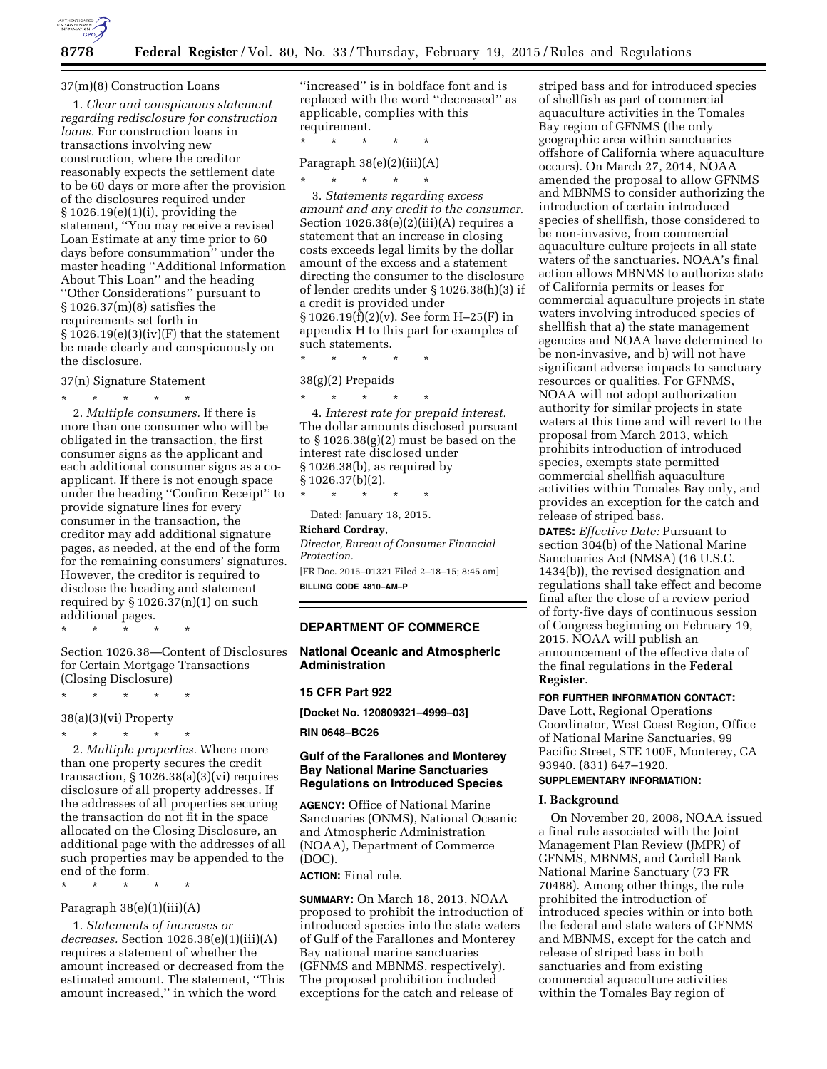

#### 37(m)(8) Construction Loans

1. *Clear and conspicuous statement regarding redisclosure for construction loans.* For construction loans in transactions involving new construction, where the creditor reasonably expects the settlement date to be 60 days or more after the provision of the disclosures required under § 1026.19(e)(1)(i), providing the statement, ''You may receive a revised Loan Estimate at any time prior to 60 days before consummation'' under the master heading ''Additional Information About This Loan'' and the heading ''Other Considerations'' pursuant to § 1026.37(m)(8) satisfies the requirements set forth in  $§ 1026.19(e)(3)(iv)(F)$  that the statement be made clearly and conspicuously on the disclosure.

37(n) Signature Statement

\* \* \* \* \* 2. *Multiple consumers.* If there is more than one consumer who will be obligated in the transaction, the first consumer signs as the applicant and each additional consumer signs as a coapplicant. If there is not enough space under the heading ''Confirm Receipt'' to provide signature lines for every consumer in the transaction, the creditor may add additional signature pages, as needed, at the end of the form for the remaining consumers' signatures. However, the creditor is required to disclose the heading and statement required by  $\S 1026.37(n)(1)$  on such additional pages.

\* \* \* \* \*

Section 1026.38—Content of Disclosures for Certain Mortgage Transactions (Closing Disclosure)

\* \* \* \* \*

38(a)(3)(vi) Property

\* \* \* \* \*

2. *Multiple properties.* Where more than one property secures the credit transaction,  $\S 1026.38(a)(3)(vi)$  requires disclosure of all property addresses. If the addresses of all properties securing the transaction do not fit in the space allocated on the Closing Disclosure, an additional page with the addresses of all such properties may be appended to the end of the form.

\* \* \* \* \*

# Paragraph 38(e)(1)(iii)(A)

1. *Statements of increases or decreases.* Section 1026.38(e)(1)(iii)(A) requires a statement of whether the amount increased or decreased from the estimated amount. The statement, ''This amount increased,'' in which the word

''increased'' is in boldface font and is replaced with the word ''decreased'' as applicable, complies with this requirement.

\* \* \* \* \* Paragraph  $38(e)(2)(iii)(A)$ 

\* \* \* \* \*

3. *Statements regarding excess amount and any credit to the consumer.*  Section  $1026.38(e)(2)(iii)(A)$  requires a statement that an increase in closing costs exceeds legal limits by the dollar amount of the excess and a statement directing the consumer to the disclosure of lender credits under § 1026.38(h)(3) if a credit is provided under § 1026.19(f)(2)(v). See form H–25(F) in appendix H to this part for examples of such statements.

38(g)(2) Prepaids

\* \* \* \* \*

\* \* \* \* \* 4. *Interest rate for prepaid interest.*  The dollar amounts disclosed pursuant to § 1026.38(g)(2) must be based on the interest rate disclosed under § 1026.38(b), as required by § 1026.37(b)(2).

\* \* \* \* \* Dated: January 18, 2015.

**Richard Cordray,** 

*Director, Bureau of Consumer Financial Protection.* 

[FR Doc. 2015–01321 Filed 2–18–15; 8:45 am] **BILLING CODE 4810–AM–P** 

# **DEPARTMENT OF COMMERCE**

**National Oceanic and Atmospheric Administration** 

#### **15 CFR Part 922**

**[Docket No. 120809321–4999–03]** 

**RIN 0648–BC26** 

### **Gulf of the Farallones and Monterey Bay National Marine Sanctuaries Regulations on Introduced Species**

**AGENCY:** Office of National Marine Sanctuaries (ONMS), National Oceanic and Atmospheric Administration (NOAA), Department of Commerce (DOC).

**ACTION:** Final rule.

**SUMMARY:** On March 18, 2013, NOAA proposed to prohibit the introduction of introduced species into the state waters of Gulf of the Farallones and Monterey Bay national marine sanctuaries (GFNMS and MBNMS, respectively). The proposed prohibition included exceptions for the catch and release of

striped bass and for introduced species of shellfish as part of commercial aquaculture activities in the Tomales Bay region of GFNMS (the only geographic area within sanctuaries offshore of California where aquaculture occurs). On March 27, 2014, NOAA amended the proposal to allow GFNMS and MBNMS to consider authorizing the introduction of certain introduced species of shellfish, those considered to be non-invasive, from commercial aquaculture culture projects in all state waters of the sanctuaries. NOAA's final action allows MBNMS to authorize state of California permits or leases for commercial aquaculture projects in state waters involving introduced species of shellfish that a) the state management agencies and NOAA have determined to be non-invasive, and b) will not have significant adverse impacts to sanctuary resources or qualities. For GFNMS, NOAA will not adopt authorization authority for similar projects in state waters at this time and will revert to the proposal from March 2013, which prohibits introduction of introduced species, exempts state permitted commercial shellfish aquaculture activities within Tomales Bay only, and provides an exception for the catch and release of striped bass.

**DATES:** *Effective Date:* Pursuant to section 304(b) of the National Marine Sanctuaries Act (NMSA) (16 U.S.C. 1434(b)), the revised designation and regulations shall take effect and become final after the close of a review period of forty-five days of continuous session of Congress beginning on February 19, 2015. NOAA will publish an announcement of the effective date of the final regulations in the **Federal Register**.

# **FOR FURTHER INFORMATION CONTACT:**

Dave Lott, Regional Operations Coordinator, West Coast Region, Office of National Marine Sanctuaries, 99 Pacific Street, STE 100F, Monterey, CA 93940. (831) 647–1920.

# **SUPPLEMENTARY INFORMATION:**

### **I. Background**

On November 20, 2008, NOAA issued a final rule associated with the Joint Management Plan Review (JMPR) of GFNMS, MBNMS, and Cordell Bank National Marine Sanctuary (73 FR 70488). Among other things, the rule prohibited the introduction of introduced species within or into both the federal and state waters of GFNMS and MBNMS, except for the catch and release of striped bass in both sanctuaries and from existing commercial aquaculture activities within the Tomales Bay region of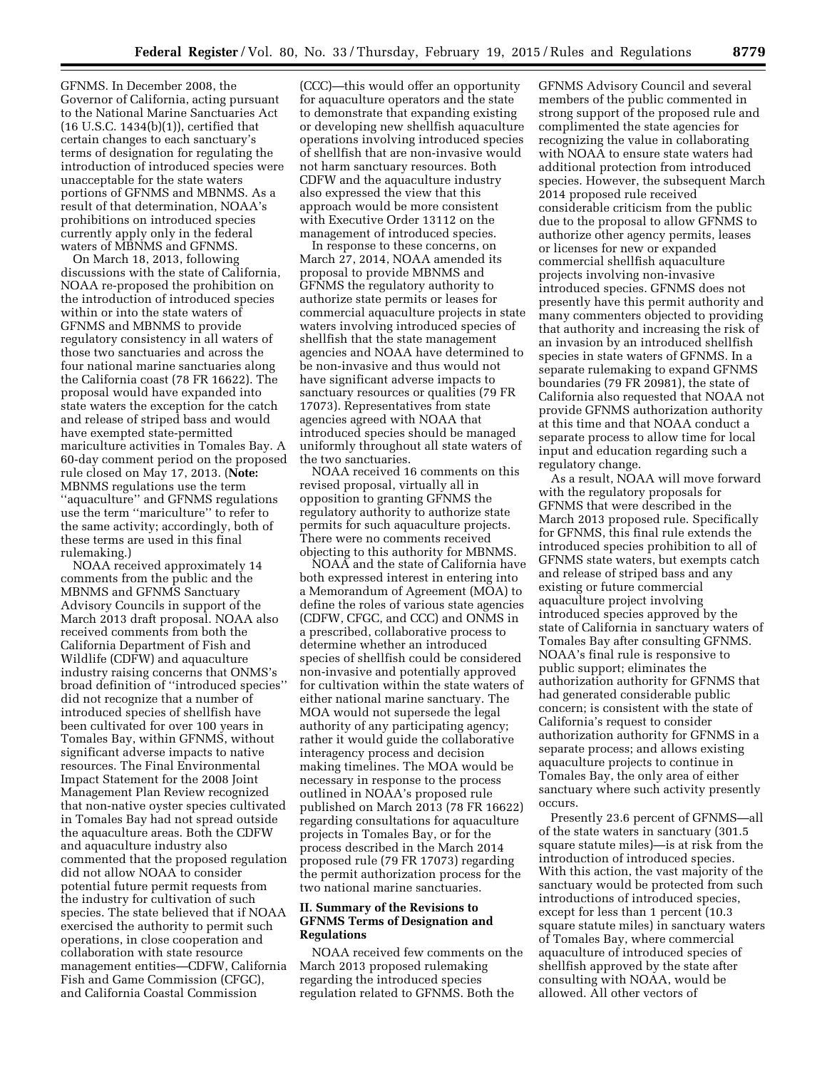GFNMS. In December 2008, the Governor of California, acting pursuant to the National Marine Sanctuaries Act (16 U.S.C. 1434(b)(1)), certified that certain changes to each sanctuary's terms of designation for regulating the introduction of introduced species were unacceptable for the state waters portions of GFNMS and MBNMS. As a result of that determination, NOAA's prohibitions on introduced species currently apply only in the federal waters of MBNMS and GFNMS.

On March 18, 2013, following discussions with the state of California, NOAA re-proposed the prohibition on the introduction of introduced species within or into the state waters of GFNMS and MBNMS to provide regulatory consistency in all waters of those two sanctuaries and across the four national marine sanctuaries along the California coast (78 FR 16622). The proposal would have expanded into state waters the exception for the catch and release of striped bass and would have exempted state-permitted mariculture activities in Tomales Bay. A 60-day comment period on the proposed rule closed on May 17, 2013. (**Note:**  MBNMS regulations use the term ''aquaculture'' and GFNMS regulations use the term ''mariculture'' to refer to the same activity; accordingly, both of these terms are used in this final rulemaking.)

NOAA received approximately 14 comments from the public and the MBNMS and GFNMS Sanctuary Advisory Councils in support of the March 2013 draft proposal. NOAA also received comments from both the California Department of Fish and Wildlife (CDFW) and aquaculture industry raising concerns that ONMS's broad definition of ''introduced species'' did not recognize that a number of introduced species of shellfish have been cultivated for over 100 years in Tomales Bay, within GFNMS, without significant adverse impacts to native resources. The Final Environmental Impact Statement for the 2008 Joint Management Plan Review recognized that non-native oyster species cultivated in Tomales Bay had not spread outside the aquaculture areas. Both the CDFW and aquaculture industry also commented that the proposed regulation did not allow NOAA to consider potential future permit requests from the industry for cultivation of such species. The state believed that if NOAA exercised the authority to permit such operations, in close cooperation and collaboration with state resource management entities—CDFW, California Fish and Game Commission (CFGC), and California Coastal Commission

(CCC)—this would offer an opportunity for aquaculture operators and the state to demonstrate that expanding existing or developing new shellfish aquaculture operations involving introduced species of shellfish that are non-invasive would not harm sanctuary resources. Both CDFW and the aquaculture industry also expressed the view that this approach would be more consistent with Executive Order 13112 on the management of introduced species.

In response to these concerns, on March 27, 2014, NOAA amended its proposal to provide MBNMS and GFNMS the regulatory authority to authorize state permits or leases for commercial aquaculture projects in state waters involving introduced species of shellfish that the state management agencies and NOAA have determined to be non-invasive and thus would not have significant adverse impacts to sanctuary resources or qualities (79 FR 17073). Representatives from state agencies agreed with NOAA that introduced species should be managed uniformly throughout all state waters of the two sanctuaries.

NOAA received 16 comments on this revised proposal, virtually all in opposition to granting GFNMS the regulatory authority to authorize state permits for such aquaculture projects. There were no comments received objecting to this authority for MBNMS.

NOAA and the state of California have both expressed interest in entering into a Memorandum of Agreement (MOA) to define the roles of various state agencies (CDFW, CFGC, and CCC) and ONMS in a prescribed, collaborative process to determine whether an introduced species of shellfish could be considered non-invasive and potentially approved for cultivation within the state waters of either national marine sanctuary. The MOA would not supersede the legal authority of any participating agency; rather it would guide the collaborative interagency process and decision making timelines. The MOA would be necessary in response to the process outlined in NOAA's proposed rule published on March 2013 (78 FR 16622) regarding consultations for aquaculture projects in Tomales Bay, or for the process described in the March 2014 proposed rule (79 FR 17073) regarding the permit authorization process for the two national marine sanctuaries.

# **II. Summary of the Revisions to GFNMS Terms of Designation and Regulations**

NOAA received few comments on the March 2013 proposed rulemaking regarding the introduced species regulation related to GFNMS. Both the

GFNMS Advisory Council and several members of the public commented in strong support of the proposed rule and complimented the state agencies for recognizing the value in collaborating with NOAA to ensure state waters had additional protection from introduced species. However, the subsequent March 2014 proposed rule received considerable criticism from the public due to the proposal to allow GFNMS to authorize other agency permits, leases or licenses for new or expanded commercial shellfish aquaculture projects involving non-invasive introduced species. GFNMS does not presently have this permit authority and many commenters objected to providing that authority and increasing the risk of an invasion by an introduced shellfish species in state waters of GFNMS. In a separate rulemaking to expand GFNMS boundaries (79 FR 20981), the state of California also requested that NOAA not provide GFNMS authorization authority at this time and that NOAA conduct a separate process to allow time for local input and education regarding such a regulatory change.

As a result, NOAA will move forward with the regulatory proposals for GFNMS that were described in the March 2013 proposed rule. Specifically for GFNMS, this final rule extends the introduced species prohibition to all of GFNMS state waters, but exempts catch and release of striped bass and any existing or future commercial aquaculture project involving introduced species approved by the state of California in sanctuary waters of Tomales Bay after consulting GFNMS. NOAA's final rule is responsive to public support; eliminates the authorization authority for GFNMS that had generated considerable public concern; is consistent with the state of California's request to consider authorization authority for GFNMS in a separate process; and allows existing aquaculture projects to continue in Tomales Bay, the only area of either sanctuary where such activity presently occurs.

Presently 23.6 percent of GFNMS—all of the state waters in sanctuary (301.5 square statute miles)—is at risk from the introduction of introduced species. With this action, the vast majority of the sanctuary would be protected from such introductions of introduced species, except for less than 1 percent (10.3 square statute miles) in sanctuary waters of Tomales Bay, where commercial aquaculture of introduced species of shellfish approved by the state after consulting with NOAA, would be allowed. All other vectors of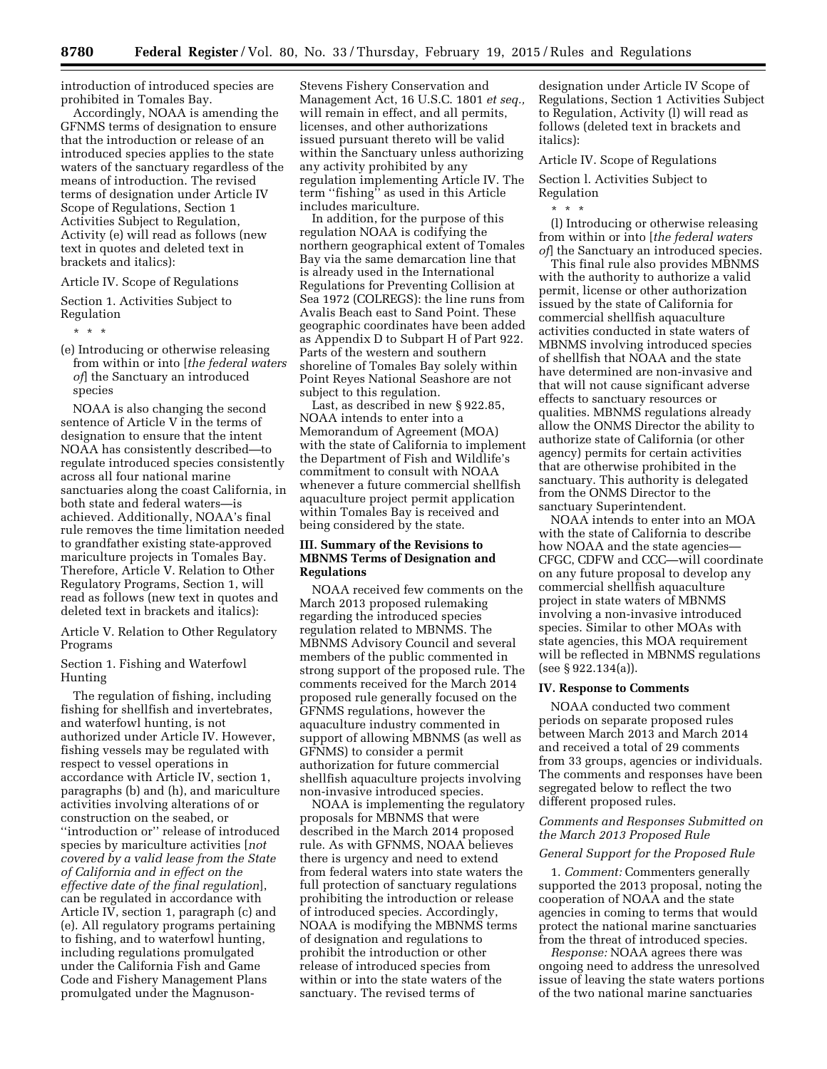introduction of introduced species are prohibited in Tomales Bay.

Accordingly, NOAA is amending the GFNMS terms of designation to ensure that the introduction or release of an introduced species applies to the state waters of the sanctuary regardless of the means of introduction. The revised terms of designation under Article IV Scope of Regulations, Section 1 Activities Subject to Regulation, Activity (e) will read as follows (new text in quotes and deleted text in brackets and italics):

#### Article IV. Scope of Regulations

Section 1. Activities Subject to Regulation

\* \* \*

(e) Introducing or otherwise releasing from within or into [*the federal waters of*] the Sanctuary an introduced species

NOAA is also changing the second sentence of Article V in the terms of designation to ensure that the intent NOAA has consistently described—to regulate introduced species consistently across all four national marine sanctuaries along the coast California, in both state and federal waters—is achieved. Additionally, NOAA's final rule removes the time limitation needed to grandfather existing state-approved mariculture projects in Tomales Bay. Therefore, Article V. Relation to Other Regulatory Programs, Section 1, will read as follows (new text in quotes and deleted text in brackets and italics):

Article V. Relation to Other Regulatory Programs

### Section 1. Fishing and Waterfowl Hunting

The regulation of fishing, including fishing for shellfish and invertebrates, and waterfowl hunting, is not authorized under Article IV. However, fishing vessels may be regulated with respect to vessel operations in accordance with Article IV, section 1, paragraphs (b) and (h), and mariculture activities involving alterations of or construction on the seabed, or ''introduction or'' release of introduced species by mariculture activities [*not covered by a valid lease from the State of California and in effect on the effective date of the final regulation*], can be regulated in accordance with Article IV, section 1, paragraph (c) and (e). All regulatory programs pertaining to fishing, and to waterfowl hunting, including regulations promulgated under the California Fish and Game Code and Fishery Management Plans promulgated under the Magnuson-

Stevens Fishery Conservation and Management Act, 16 U.S.C. 1801 *et seq.,*  will remain in effect, and all permits, licenses, and other authorizations issued pursuant thereto will be valid within the Sanctuary unless authorizing any activity prohibited by any regulation implementing Article IV. The term ''fishing'' as used in this Article includes mariculture.

In addition, for the purpose of this regulation NOAA is codifying the northern geographical extent of Tomales Bay via the same demarcation line that is already used in the International Regulations for Preventing Collision at Sea 1972 (COLREGS): the line runs from Avalis Beach east to Sand Point. These geographic coordinates have been added as Appendix D to Subpart H of Part 922. Parts of the western and southern shoreline of Tomales Bay solely within Point Reyes National Seashore are not subject to this regulation.

Last, as described in new § 922.85, NOAA intends to enter into a Memorandum of Agreement (MOA) with the state of California to implement the Department of Fish and Wildlife's commitment to consult with NOAA whenever a future commercial shellfish aquaculture project permit application within Tomales Bay is received and being considered by the state.

### **III. Summary of the Revisions to MBNMS Terms of Designation and Regulations**

NOAA received few comments on the March 2013 proposed rulemaking regarding the introduced species regulation related to MBNMS. The MBNMS Advisory Council and several members of the public commented in strong support of the proposed rule. The comments received for the March 2014 proposed rule generally focused on the GFNMS regulations, however the aquaculture industry commented in support of allowing MBNMS (as well as GFNMS) to consider a permit authorization for future commercial shellfish aquaculture projects involving non-invasive introduced species.

NOAA is implementing the regulatory proposals for MBNMS that were described in the March 2014 proposed rule. As with GFNMS, NOAA believes there is urgency and need to extend from federal waters into state waters the full protection of sanctuary regulations prohibiting the introduction or release of introduced species. Accordingly, NOAA is modifying the MBNMS terms of designation and regulations to prohibit the introduction or other release of introduced species from within or into the state waters of the sanctuary. The revised terms of

designation under Article IV Scope of Regulations, Section 1 Activities Subject to Regulation, Activity (l) will read as follows (deleted text in brackets and italics):

Article IV. Scope of Regulations Section l. Activities Subject to Regulation

\* \* \*

(l) Introducing or otherwise releasing from within or into [*the federal waters of*] the Sanctuary an introduced species.

This final rule also provides MBNMS with the authority to authorize a valid permit, license or other authorization issued by the state of California for commercial shellfish aquaculture activities conducted in state waters of MBNMS involving introduced species of shellfish that NOAA and the state have determined are non-invasive and that will not cause significant adverse effects to sanctuary resources or qualities. MBNMS regulations already allow the ONMS Director the ability to authorize state of California (or other agency) permits for certain activities that are otherwise prohibited in the sanctuary. This authority is delegated from the ONMS Director to the sanctuary Superintendent.

NOAA intends to enter into an MOA with the state of California to describe how NOAA and the state agencies— CFGC, CDFW and CCC—will coordinate on any future proposal to develop any commercial shellfish aquaculture project in state waters of MBNMS involving a non-invasive introduced species. Similar to other MOAs with state agencies, this MOA requirement will be reflected in MBNMS regulations (see § 922.134(a)).

### **IV. Response to Comments**

NOAA conducted two comment periods on separate proposed rules between March 2013 and March 2014 and received a total of 29 comments from 33 groups, agencies or individuals. The comments and responses have been segregated below to reflect the two different proposed rules.

#### *Comments and Responses Submitted on the March 2013 Proposed Rule*

### *General Support for the Proposed Rule*

1. *Comment:* Commenters generally supported the 2013 proposal, noting the cooperation of NOAA and the state agencies in coming to terms that would protect the national marine sanctuaries from the threat of introduced species.

*Response:* NOAA agrees there was ongoing need to address the unresolved issue of leaving the state waters portions of the two national marine sanctuaries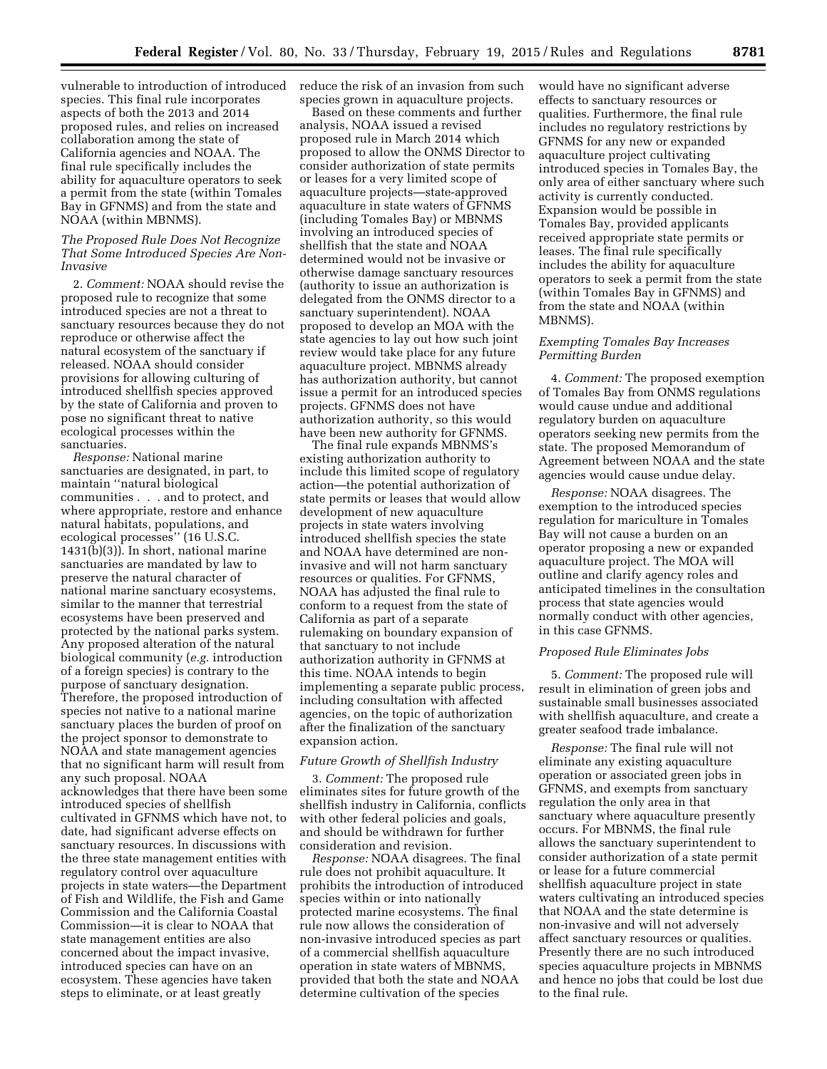vulnerable to introduction of introduced species. This final rule incorporates aspects of both the 2013 and 2014 proposed rules, and relies on increased collaboration among the state of California agencies and NOAA. The final rule specifically includes the ability for aquaculture operators to seek a permit from the state (within Tomales Bay in GFNMS) and from the state and NOAA (within MBNMS).

### *The Proposed Rule Does Not Recognize That Some Introduced Species Are Non-Invasive*

2. *Comment:* NOAA should revise the proposed rule to recognize that some introduced species are not a threat to sanctuary resources because they do not reproduce or otherwise affect the natural ecosystem of the sanctuary if released. NOAA should consider provisions for allowing culturing of introduced shellfish species approved by the state of California and proven to pose no significant threat to native ecological processes within the sanctuaries.

*Response:* National marine sanctuaries are designated, in part, to maintain ''natural biological communities . . . and to protect, and where appropriate, restore and enhance natural habitats, populations, and ecological processes'' (16 U.S.C. 1431(b)(3)). In short, national marine sanctuaries are mandated by law to preserve the natural character of national marine sanctuary ecosystems, similar to the manner that terrestrial ecosystems have been preserved and protected by the national parks system. Any proposed alteration of the natural biological community (*e.g.* introduction of a foreign species) is contrary to the purpose of sanctuary designation. Therefore, the proposed introduction of species not native to a national marine sanctuary places the burden of proof on the project sponsor to demonstrate to NOAA and state management agencies that no significant harm will result from any such proposal. NOAA acknowledges that there have been some introduced species of shellfish cultivated in GFNMS which have not, to date, had significant adverse effects on sanctuary resources. In discussions with the three state management entities with regulatory control over aquaculture projects in state waters—the Department of Fish and Wildlife, the Fish and Game Commission and the California Coastal Commission—it is clear to NOAA that state management entities are also concerned about the impact invasive, introduced species can have on an ecosystem. These agencies have taken steps to eliminate, or at least greatly

reduce the risk of an invasion from such species grown in aquaculture projects.

Based on these comments and further analysis, NOAA issued a revised proposed rule in March 2014 which proposed to allow the ONMS Director to consider authorization of state permits or leases for a very limited scope of aquaculture projects—state-approved aquaculture in state waters of GFNMS (including Tomales Bay) or MBNMS involving an introduced species of shellfish that the state and NOAA determined would not be invasive or otherwise damage sanctuary resources (authority to issue an authorization is delegated from the ONMS director to a sanctuary superintendent). NOAA proposed to develop an MOA with the state agencies to lay out how such joint review would take place for any future aquaculture project. MBNMS already has authorization authority, but cannot issue a permit for an introduced species projects. GFNMS does not have authorization authority, so this would have been new authority for GFNMS.

The final rule expands MBNMS's existing authorization authority to include this limited scope of regulatory action—the potential authorization of state permits or leases that would allow development of new aquaculture projects in state waters involving introduced shellfish species the state and NOAA have determined are noninvasive and will not harm sanctuary resources or qualities. For GFNMS, NOAA has adjusted the final rule to conform to a request from the state of California as part of a separate rulemaking on boundary expansion of that sanctuary to not include authorization authority in GFNMS at this time. NOAA intends to begin implementing a separate public process, including consultation with affected agencies, on the topic of authorization after the finalization of the sanctuary expansion action.

#### *Future Growth of Shellfish Industry*

3. *Comment:* The proposed rule eliminates sites for future growth of the shellfish industry in California, conflicts with other federal policies and goals, and should be withdrawn for further consideration and revision.

*Response:* NOAA disagrees. The final rule does not prohibit aquaculture. It prohibits the introduction of introduced species within or into nationally protected marine ecosystems. The final rule now allows the consideration of non-invasive introduced species as part of a commercial shellfish aquaculture operation in state waters of MBNMS, provided that both the state and NOAA determine cultivation of the species

would have no significant adverse effects to sanctuary resources or qualities. Furthermore, the final rule includes no regulatory restrictions by GFNMS for any new or expanded aquaculture project cultivating introduced species in Tomales Bay, the only area of either sanctuary where such activity is currently conducted. Expansion would be possible in Tomales Bay, provided applicants received appropriate state permits or leases. The final rule specifically includes the ability for aquaculture operators to seek a permit from the state (within Tomales Bay in GFNMS) and from the state and NOAA (within MBNMS).

### *Exempting Tomales Bay Increases Permitting Burden*

4. *Comment:* The proposed exemption of Tomales Bay from ONMS regulations would cause undue and additional regulatory burden on aquaculture operators seeking new permits from the state. The proposed Memorandum of Agreement between NOAA and the state agencies would cause undue delay.

*Response:* NOAA disagrees. The exemption to the introduced species regulation for mariculture in Tomales Bay will not cause a burden on an operator proposing a new or expanded aquaculture project. The MOA will outline and clarify agency roles and anticipated timelines in the consultation process that state agencies would normally conduct with other agencies, in this case GFNMS.

#### *Proposed Rule Eliminates Jobs*

5. *Comment:* The proposed rule will result in elimination of green jobs and sustainable small businesses associated with shellfish aquaculture, and create a greater seafood trade imbalance.

*Response:* The final rule will not eliminate any existing aquaculture operation or associated green jobs in GFNMS, and exempts from sanctuary regulation the only area in that sanctuary where aquaculture presently occurs. For MBNMS, the final rule allows the sanctuary superintendent to consider authorization of a state permit or lease for a future commercial shellfish aquaculture project in state waters cultivating an introduced species that NOAA and the state determine is non-invasive and will not adversely affect sanctuary resources or qualities. Presently there are no such introduced species aquaculture projects in MBNMS and hence no jobs that could be lost due to the final rule.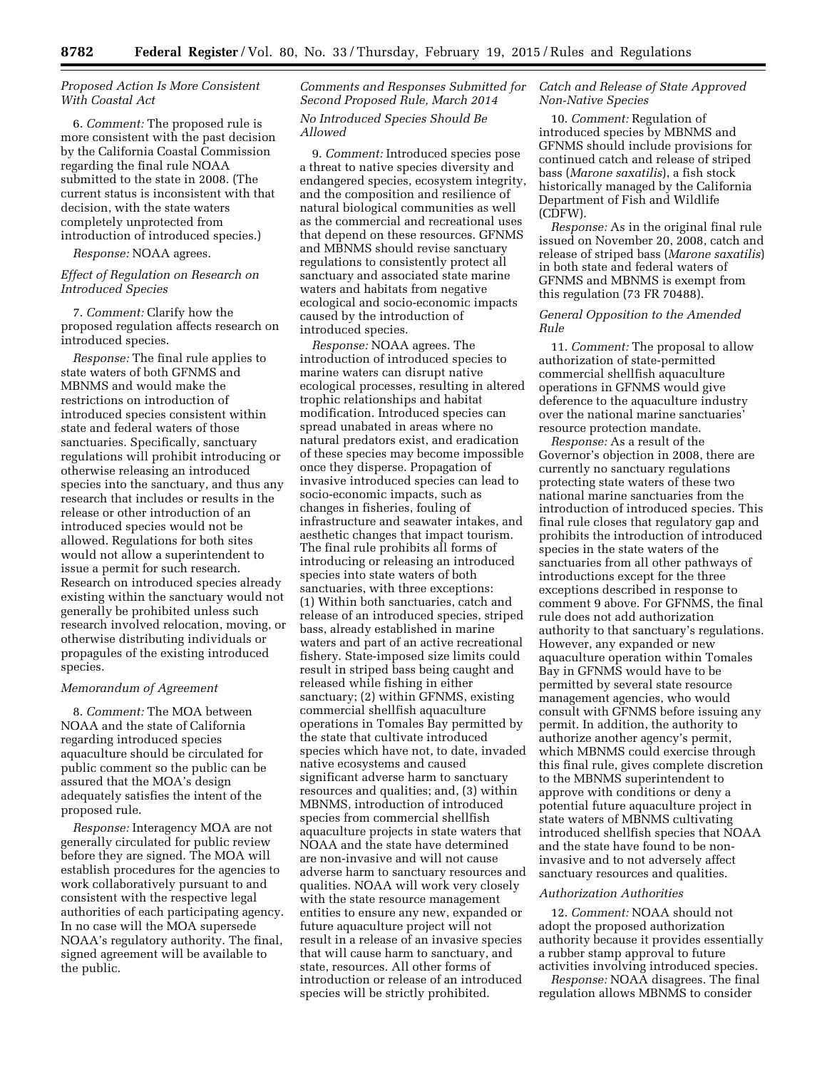### *Proposed Action Is More Consistent With Coastal Act*

6. *Comment:* The proposed rule is more consistent with the past decision by the California Coastal Commission regarding the final rule NOAA submitted to the state in 2008. (The current status is inconsistent with that decision, with the state waters completely unprotected from introduction of introduced species.)

*Response:* NOAA agrees.

### *Effect of Regulation on Research on Introduced Species*

7. *Comment:* Clarify how the proposed regulation affects research on introduced species.

*Response:* The final rule applies to state waters of both GFNMS and MBNMS and would make the restrictions on introduction of introduced species consistent within state and federal waters of those sanctuaries. Specifically, sanctuary regulations will prohibit introducing or otherwise releasing an introduced species into the sanctuary, and thus any research that includes or results in the release or other introduction of an introduced species would not be allowed. Regulations for both sites would not allow a superintendent to issue a permit for such research. Research on introduced species already existing within the sanctuary would not generally be prohibited unless such research involved relocation, moving, or otherwise distributing individuals or propagules of the existing introduced species.

#### *Memorandum of Agreement*

8. *Comment:* The MOA between NOAA and the state of California regarding introduced species aquaculture should be circulated for public comment so the public can be assured that the MOA's design adequately satisfies the intent of the proposed rule.

*Response:* Interagency MOA are not generally circulated for public review before they are signed. The MOA will establish procedures for the agencies to work collaboratively pursuant to and consistent with the respective legal authorities of each participating agency. In no case will the MOA supersede NOAA's regulatory authority. The final, signed agreement will be available to the public.

*Comments and Responses Submitted for Second Proposed Rule, March 2014* 

# *No Introduced Species Should Be Allowed*

9. *Comment:* Introduced species pose a threat to native species diversity and endangered species, ecosystem integrity, and the composition and resilience of natural biological communities as well as the commercial and recreational uses that depend on these resources. GFNMS and MBNMS should revise sanctuary regulations to consistently protect all sanctuary and associated state marine waters and habitats from negative ecological and socio-economic impacts caused by the introduction of introduced species.

*Response:* NOAA agrees. The introduction of introduced species to marine waters can disrupt native ecological processes, resulting in altered trophic relationships and habitat modification. Introduced species can spread unabated in areas where no natural predators exist, and eradication of these species may become impossible once they disperse. Propagation of invasive introduced species can lead to socio-economic impacts, such as changes in fisheries, fouling of infrastructure and seawater intakes, and aesthetic changes that impact tourism. The final rule prohibits all forms of introducing or releasing an introduced species into state waters of both sanctuaries, with three exceptions: (1) Within both sanctuaries, catch and release of an introduced species, striped bass, already established in marine waters and part of an active recreational fishery. State-imposed size limits could result in striped bass being caught and released while fishing in either sanctuary; (2) within GFNMS, existing commercial shellfish aquaculture operations in Tomales Bay permitted by the state that cultivate introduced species which have not, to date, invaded native ecosystems and caused significant adverse harm to sanctuary resources and qualities; and, (3) within MBNMS, introduction of introduced species from commercial shellfish aquaculture projects in state waters that NOAA and the state have determined are non-invasive and will not cause adverse harm to sanctuary resources and qualities. NOAA will work very closely with the state resource management entities to ensure any new, expanded or future aquaculture project will not result in a release of an invasive species that will cause harm to sanctuary, and state, resources. All other forms of introduction or release of an introduced species will be strictly prohibited.

### *Catch and Release of State Approved Non-Native Species*

10. *Comment:* Regulation of introduced species by MBNMS and GFNMS should include provisions for continued catch and release of striped bass (*Marone saxatilis*), a fish stock historically managed by the California Department of Fish and Wildlife (CDFW).

*Response:* As in the original final rule issued on November 20, 2008, catch and release of striped bass (*Marone saxatilis*) in both state and federal waters of GFNMS and MBNMS is exempt from this regulation (73 FR 70488).

#### *General Opposition to the Amended Rule*

11. *Comment:* The proposal to allow authorization of state-permitted commercial shellfish aquaculture operations in GFNMS would give deference to the aquaculture industry over the national marine sanctuaries' resource protection mandate.

*Response:* As a result of the Governor's objection in 2008, there are currently no sanctuary regulations protecting state waters of these two national marine sanctuaries from the introduction of introduced species. This final rule closes that regulatory gap and prohibits the introduction of introduced species in the state waters of the sanctuaries from all other pathways of introductions except for the three exceptions described in response to comment 9 above. For GFNMS, the final rule does not add authorization authority to that sanctuary's regulations. However, any expanded or new aquaculture operation within Tomales Bay in GFNMS would have to be permitted by several state resource management agencies, who would consult with GFNMS before issuing any permit. In addition, the authority to authorize another agency's permit, which MBNMS could exercise through this final rule, gives complete discretion to the MBNMS superintendent to approve with conditions or deny a potential future aquaculture project in state waters of MBNMS cultivating introduced shellfish species that NOAA and the state have found to be noninvasive and to not adversely affect sanctuary resources and qualities.

#### *Authorization Authorities*

12. *Comment:* NOAA should not adopt the proposed authorization authority because it provides essentially a rubber stamp approval to future activities involving introduced species.

*Response:* NOAA disagrees. The final regulation allows MBNMS to consider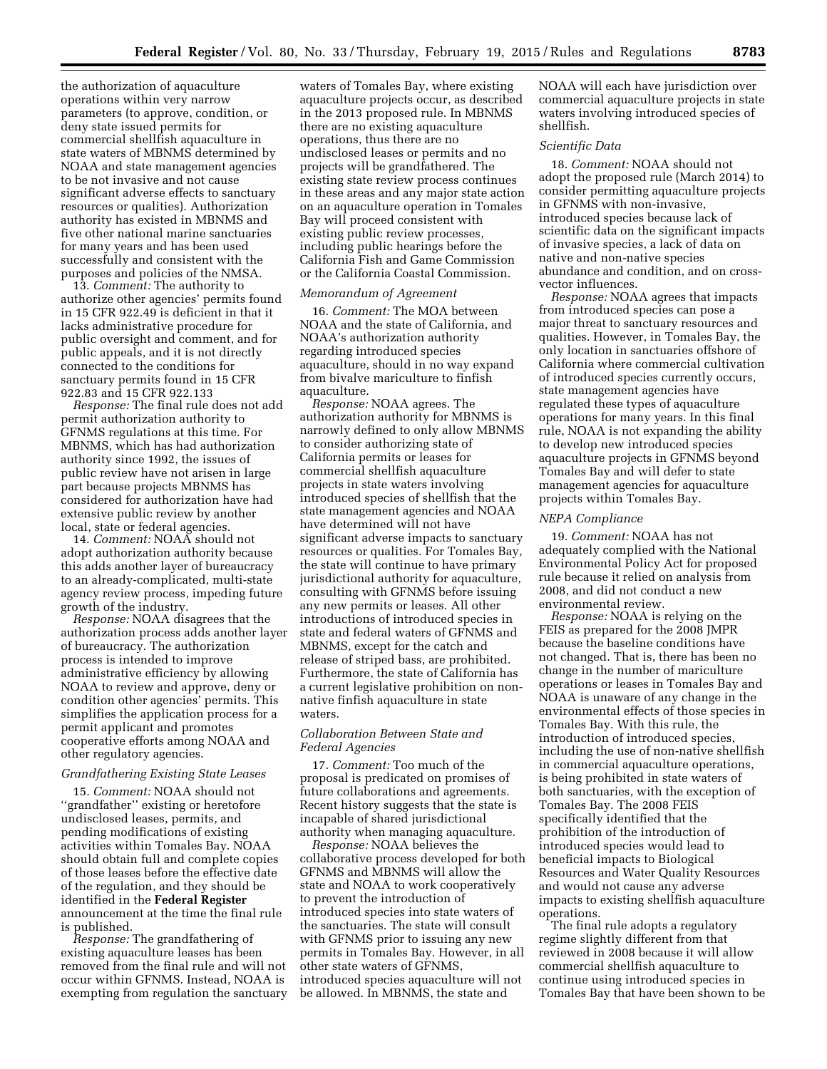the authorization of aquaculture operations within very narrow parameters (to approve, condition, or deny state issued permits for commercial shellfish aquaculture in state waters of MBNMS determined by NOAA and state management agencies to be not invasive and not cause significant adverse effects to sanctuary resources or qualities). Authorization authority has existed in MBNMS and five other national marine sanctuaries for many years and has been used successfully and consistent with the purposes and policies of the NMSA.

13. *Comment:* The authority to authorize other agencies' permits found in 15 CFR 922.49 is deficient in that it lacks administrative procedure for public oversight and comment, and for public appeals, and it is not directly connected to the conditions for sanctuary permits found in 15 CFR 922.83 and 15 CFR 922.133

*Response:* The final rule does not add permit authorization authority to GFNMS regulations at this time. For MBNMS, which has had authorization authority since 1992, the issues of public review have not arisen in large part because projects MBNMS has considered for authorization have had extensive public review by another local, state or federal agencies.

14. *Comment:* NOAA should not adopt authorization authority because this adds another layer of bureaucracy to an already-complicated, multi-state agency review process, impeding future growth of the industry.

*Response:* NOAA disagrees that the authorization process adds another layer of bureaucracy. The authorization process is intended to improve administrative efficiency by allowing NOAA to review and approve, deny or condition other agencies' permits. This simplifies the application process for a permit applicant and promotes cooperative efforts among NOAA and other regulatory agencies.

#### *Grandfathering Existing State Leases*

15. *Comment:* NOAA should not ''grandfather'' existing or heretofore undisclosed leases, permits, and pending modifications of existing activities within Tomales Bay. NOAA should obtain full and complete copies of those leases before the effective date of the regulation, and they should be identified in the **Federal Register**  announcement at the time the final rule is published.

*Response:* The grandfathering of existing aquaculture leases has been removed from the final rule and will not occur within GFNMS. Instead, NOAA is exempting from regulation the sanctuary waters of Tomales Bay, where existing aquaculture projects occur, as described in the 2013 proposed rule. In MBNMS there are no existing aquaculture operations, thus there are no undisclosed leases or permits and no projects will be grandfathered. The existing state review process continues in these areas and any major state action on an aquaculture operation in Tomales Bay will proceed consistent with existing public review processes, including public hearings before the California Fish and Game Commission or the California Coastal Commission.

#### *Memorandum of Agreement*

16. *Comment:* The MOA between NOAA and the state of California, and NOAA's authorization authority regarding introduced species aquaculture, should in no way expand from bivalve mariculture to finfish aquaculture.

*Response:* NOAA agrees. The authorization authority for MBNMS is narrowly defined to only allow MBNMS to consider authorizing state of California permits or leases for commercial shellfish aquaculture projects in state waters involving introduced species of shellfish that the state management agencies and NOAA have determined will not have significant adverse impacts to sanctuary resources or qualities. For Tomales Bay, the state will continue to have primary jurisdictional authority for aquaculture, consulting with GFNMS before issuing any new permits or leases. All other introductions of introduced species in state and federal waters of GFNMS and MBNMS, except for the catch and release of striped bass, are prohibited. Furthermore, the state of California has a current legislative prohibition on nonnative finfish aquaculture in state waters.

### *Collaboration Between State and Federal Agencies*

17. *Comment:* Too much of the proposal is predicated on promises of future collaborations and agreements. Recent history suggests that the state is incapable of shared jurisdictional authority when managing aquaculture.

*Response:* NOAA believes the collaborative process developed for both GFNMS and MBNMS will allow the state and NOAA to work cooperatively to prevent the introduction of introduced species into state waters of the sanctuaries. The state will consult with GFNMS prior to issuing any new permits in Tomales Bay. However, in all other state waters of GFNMS, introduced species aquaculture will not be allowed. In MBNMS, the state and

NOAA will each have jurisdiction over commercial aquaculture projects in state waters involving introduced species of shellfish.

### *Scientific Data*

18. *Comment:* NOAA should not adopt the proposed rule (March 2014) to consider permitting aquaculture projects in GFNMS with non-invasive, introduced species because lack of scientific data on the significant impacts of invasive species, a lack of data on native and non-native species abundance and condition, and on crossvector influences.

*Response:* NOAA agrees that impacts from introduced species can pose a major threat to sanctuary resources and qualities. However, in Tomales Bay, the only location in sanctuaries offshore of California where commercial cultivation of introduced species currently occurs, state management agencies have regulated these types of aquaculture operations for many years. In this final rule, NOAA is not expanding the ability to develop new introduced species aquaculture projects in GFNMS beyond Tomales Bay and will defer to state management agencies for aquaculture projects within Tomales Bay.

#### *NEPA Compliance*

19. *Comment:* NOAA has not adequately complied with the National Environmental Policy Act for proposed rule because it relied on analysis from 2008, and did not conduct a new environmental review.

*Response:* NOAA is relying on the FEIS as prepared for the 2008 JMPR because the baseline conditions have not changed. That is, there has been no change in the number of mariculture operations or leases in Tomales Bay and NOAA is unaware of any change in the environmental effects of those species in Tomales Bay. With this rule, the introduction of introduced species, including the use of non-native shellfish in commercial aquaculture operations, is being prohibited in state waters of both sanctuaries, with the exception of Tomales Bay. The 2008 FEIS specifically identified that the prohibition of the introduction of introduced species would lead to beneficial impacts to Biological Resources and Water Quality Resources and would not cause any adverse impacts to existing shellfish aquaculture operations.

The final rule adopts a regulatory regime slightly different from that reviewed in 2008 because it will allow commercial shellfish aquaculture to continue using introduced species in Tomales Bay that have been shown to be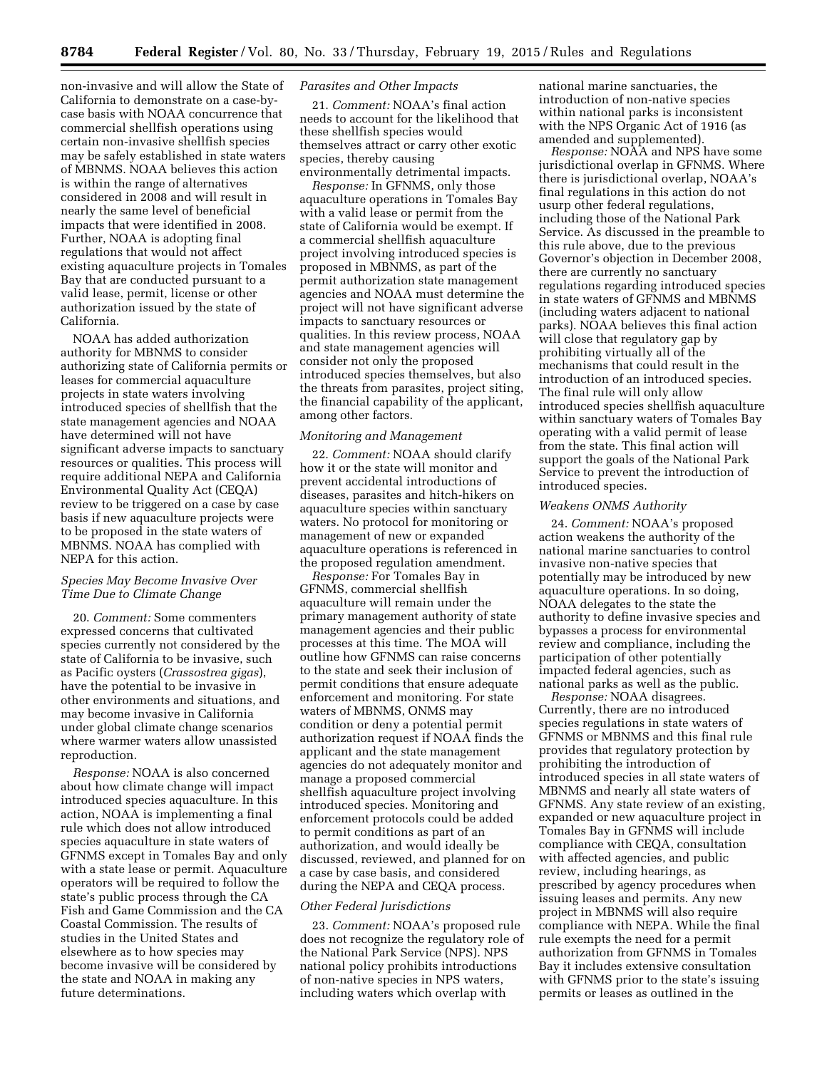non-invasive and will allow the State of California to demonstrate on a case-bycase basis with NOAA concurrence that commercial shellfish operations using certain non-invasive shellfish species may be safely established in state waters of MBNMS. NOAA believes this action is within the range of alternatives considered in 2008 and will result in nearly the same level of beneficial impacts that were identified in 2008. Further, NOAA is adopting final regulations that would not affect existing aquaculture projects in Tomales Bay that are conducted pursuant to a valid lease, permit, license or other authorization issued by the state of California.

NOAA has added authorization authority for MBNMS to consider authorizing state of California permits or leases for commercial aquaculture projects in state waters involving introduced species of shellfish that the state management agencies and NOAA have determined will not have significant adverse impacts to sanctuary resources or qualities. This process will require additional NEPA and California Environmental Quality Act (CEQA) review to be triggered on a case by case basis if new aquaculture projects were to be proposed in the state waters of MBNMS. NOAA has complied with NEPA for this action.

### *Species May Become Invasive Over Time Due to Climate Change*

20. *Comment:* Some commenters expressed concerns that cultivated species currently not considered by the state of California to be invasive, such as Pacific oysters (*Crassostrea gigas*), have the potential to be invasive in other environments and situations, and may become invasive in California under global climate change scenarios where warmer waters allow unassisted reproduction.

*Response:* NOAA is also concerned about how climate change will impact introduced species aquaculture. In this action, NOAA is implementing a final rule which does not allow introduced species aquaculture in state waters of GFNMS except in Tomales Bay and only with a state lease or permit. Aquaculture operators will be required to follow the state's public process through the CA Fish and Game Commission and the CA Coastal Commission. The results of studies in the United States and elsewhere as to how species may become invasive will be considered by the state and NOAA in making any future determinations.

### *Parasites and Other Impacts*

21. *Comment:* NOAA's final action needs to account for the likelihood that these shellfish species would themselves attract or carry other exotic species, thereby causing environmentally detrimental impacts.

*Response:* In GFNMS, only those aquaculture operations in Tomales Bay with a valid lease or permit from the state of California would be exempt. If a commercial shellfish aquaculture project involving introduced species is proposed in MBNMS, as part of the permit authorization state management agencies and NOAA must determine the project will not have significant adverse impacts to sanctuary resources or qualities. In this review process, NOAA and state management agencies will consider not only the proposed introduced species themselves, but also the threats from parasites, project siting, the financial capability of the applicant, among other factors.

#### *Monitoring and Management*

22. *Comment:* NOAA should clarify how it or the state will monitor and prevent accidental introductions of diseases, parasites and hitch-hikers on aquaculture species within sanctuary waters. No protocol for monitoring or management of new or expanded aquaculture operations is referenced in the proposed regulation amendment.

*Response:* For Tomales Bay in GFNMS, commercial shellfish aquaculture will remain under the primary management authority of state management agencies and their public processes at this time. The MOA will outline how GFNMS can raise concerns to the state and seek their inclusion of permit conditions that ensure adequate enforcement and monitoring. For state waters of MBNMS, ONMS may condition or deny a potential permit authorization request if NOAA finds the applicant and the state management agencies do not adequately monitor and manage a proposed commercial shellfish aquaculture project involving introduced species. Monitoring and enforcement protocols could be added to permit conditions as part of an authorization, and would ideally be discussed, reviewed, and planned for on a case by case basis, and considered during the NEPA and CEQA process.

### *Other Federal Jurisdictions*

23. *Comment:* NOAA's proposed rule does not recognize the regulatory role of the National Park Service (NPS). NPS national policy prohibits introductions of non-native species in NPS waters, including waters which overlap with

national marine sanctuaries, the introduction of non-native species within national parks is inconsistent with the NPS Organic Act of 1916 (as amended and supplemented).

*Response:* NOAA and NPS have some jurisdictional overlap in GFNMS. Where there is jurisdictional overlap, NOAA's final regulations in this action do not usurp other federal regulations, including those of the National Park Service. As discussed in the preamble to this rule above, due to the previous Governor's objection in December 2008, there are currently no sanctuary regulations regarding introduced species in state waters of GFNMS and MBNMS (including waters adjacent to national parks). NOAA believes this final action will close that regulatory gap by prohibiting virtually all of the mechanisms that could result in the introduction of an introduced species. The final rule will only allow introduced species shellfish aquaculture within sanctuary waters of Tomales Bay operating with a valid permit of lease from the state. This final action will support the goals of the National Park Service to prevent the introduction of introduced species.

#### *Weakens ONMS Authority*

24. *Comment:* NOAA's proposed action weakens the authority of the national marine sanctuaries to control invasive non-native species that potentially may be introduced by new aquaculture operations. In so doing, NOAA delegates to the state the authority to define invasive species and bypasses a process for environmental review and compliance, including the participation of other potentially impacted federal agencies, such as national parks as well as the public.

*Response:* NOAA disagrees. Currently, there are no introduced species regulations in state waters of GFNMS or MBNMS and this final rule provides that regulatory protection by prohibiting the introduction of introduced species in all state waters of MBNMS and nearly all state waters of GFNMS. Any state review of an existing, expanded or new aquaculture project in Tomales Bay in GFNMS will include compliance with CEQA, consultation with affected agencies, and public review, including hearings, as prescribed by agency procedures when issuing leases and permits. Any new project in MBNMS will also require compliance with NEPA. While the final rule exempts the need for a permit authorization from GFNMS in Tomales Bay it includes extensive consultation with GFNMS prior to the state's issuing permits or leases as outlined in the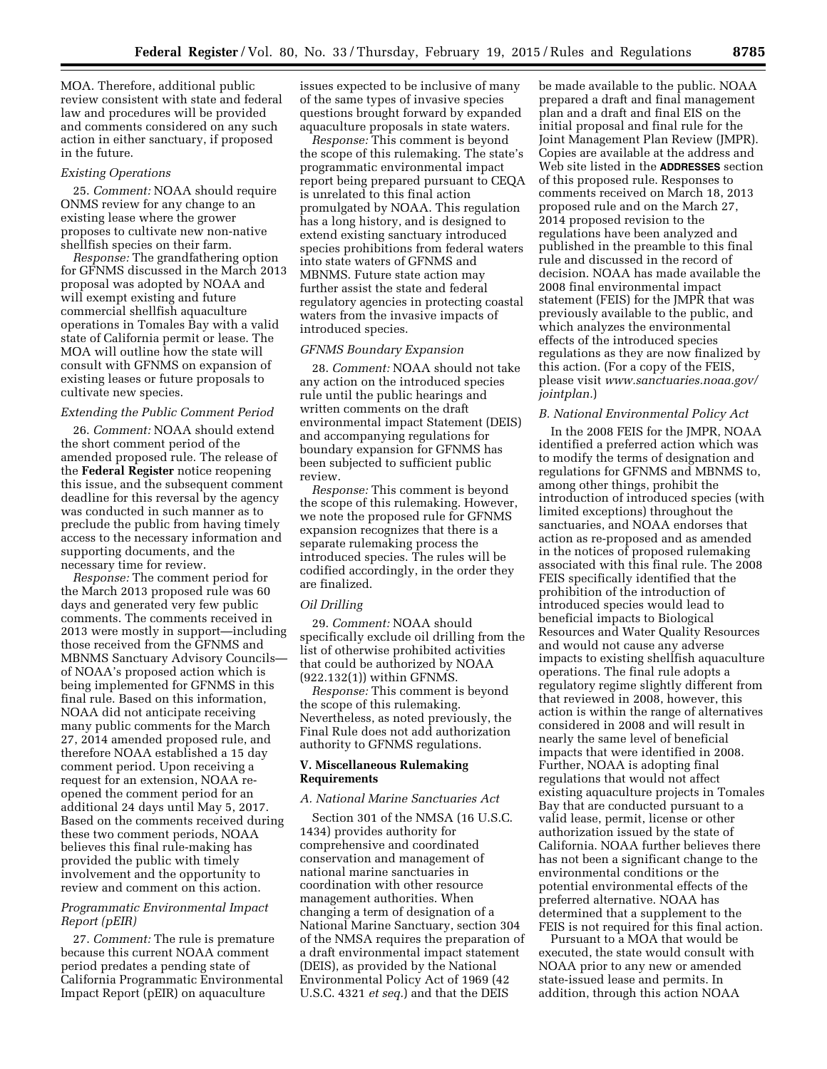MOA. Therefore, additional public review consistent with state and federal law and procedures will be provided and comments considered on any such action in either sanctuary, if proposed in the future.

#### *Existing Operations*

25. *Comment:* NOAA should require ONMS review for any change to an existing lease where the grower proposes to cultivate new non-native shellfish species on their farm.

*Response:* The grandfathering option for GFNMS discussed in the March 2013 proposal was adopted by NOAA and will exempt existing and future commercial shellfish aquaculture operations in Tomales Bay with a valid state of California permit or lease. The MOA will outline how the state will consult with GFNMS on expansion of existing leases or future proposals to cultivate new species.

#### *Extending the Public Comment Period*

26. *Comment:* NOAA should extend the short comment period of the amended proposed rule. The release of the **Federal Register** notice reopening this issue, and the subsequent comment deadline for this reversal by the agency was conducted in such manner as to preclude the public from having timely access to the necessary information and supporting documents, and the necessary time for review.

*Response:* The comment period for the March 2013 proposed rule was 60 days and generated very few public comments. The comments received in 2013 were mostly in support—including those received from the GFNMS and MBNMS Sanctuary Advisory Councils of NOAA's proposed action which is being implemented for GFNMS in this final rule. Based on this information, NOAA did not anticipate receiving many public comments for the March 27, 2014 amended proposed rule, and therefore NOAA established a 15 day comment period. Upon receiving a request for an extension, NOAA reopened the comment period for an additional 24 days until May 5, 2017. Based on the comments received during these two comment periods, NOAA believes this final rule-making has provided the public with timely involvement and the opportunity to review and comment on this action.

### *Programmatic Environmental Impact Report (pEIR)*

27. *Comment:* The rule is premature because this current NOAA comment period predates a pending state of California Programmatic Environmental Impact Report (pEIR) on aquaculture

issues expected to be inclusive of many of the same types of invasive species questions brought forward by expanded aquaculture proposals in state waters.

*Response:* This comment is beyond the scope of this rulemaking. The state's programmatic environmental impact report being prepared pursuant to CEQA is unrelated to this final action promulgated by NOAA. This regulation has a long history, and is designed to extend existing sanctuary introduced species prohibitions from federal waters into state waters of GFNMS and MBNMS. Future state action may further assist the state and federal regulatory agencies in protecting coastal waters from the invasive impacts of introduced species.

#### *GFNMS Boundary Expansion*

28. *Comment:* NOAA should not take any action on the introduced species rule until the public hearings and written comments on the draft environmental impact Statement (DEIS) and accompanying regulations for boundary expansion for GFNMS has been subjected to sufficient public review.

*Response:* This comment is beyond the scope of this rulemaking. However, we note the proposed rule for GFNMS expansion recognizes that there is a separate rulemaking process the introduced species. The rules will be codified accordingly, in the order they are finalized.

#### *Oil Drilling*

29. *Comment:* NOAA should specifically exclude oil drilling from the list of otherwise prohibited activities that could be authorized by NOAA (922.132(1)) within GFNMS.

*Response:* This comment is beyond the scope of this rulemaking. Nevertheless, as noted previously, the Final Rule does not add authorization authority to GFNMS regulations.

### **V. Miscellaneous Rulemaking Requirements**

#### *A. National Marine Sanctuaries Act*

Section 301 of the NMSA (16 U.S.C. 1434) provides authority for comprehensive and coordinated conservation and management of national marine sanctuaries in coordination with other resource management authorities. When changing a term of designation of a National Marine Sanctuary, section 304 of the NMSA requires the preparation of a draft environmental impact statement (DEIS), as provided by the National Environmental Policy Act of 1969 (42 U.S.C. 4321 *et seq.*) and that the DEIS

be made available to the public. NOAA prepared a draft and final management plan and a draft and final EIS on the initial proposal and final rule for the Joint Management Plan Review (JMPR). Copies are available at the address and Web site listed in the **ADDRESSES** section of this proposed rule. Responses to comments received on March 18, 2013 proposed rule and on the March 27, 2014 proposed revision to the regulations have been analyzed and published in the preamble to this final rule and discussed in the record of decision. NOAA has made available the 2008 final environmental impact statement (FEIS) for the JMPR that was previously available to the public, and which analyzes the environmental effects of the introduced species regulations as they are now finalized by this action. (For a copy of the FEIS, please visit *[www.sanctuaries.noaa.gov/](http://www.sanctuaries.noaa.gov/jointplan) [jointplan.](http://www.sanctuaries.noaa.gov/jointplan)*)

#### *B. National Environmental Policy Act*

In the 2008 FEIS for the JMPR, NOAA identified a preferred action which was to modify the terms of designation and regulations for GFNMS and MBNMS to, among other things, prohibit the introduction of introduced species (with limited exceptions) throughout the sanctuaries, and NOAA endorses that action as re-proposed and as amended in the notices of proposed rulemaking associated with this final rule. The 2008 FEIS specifically identified that the prohibition of the introduction of introduced species would lead to beneficial impacts to Biological Resources and Water Quality Resources and would not cause any adverse impacts to existing shellfish aquaculture operations. The final rule adopts a regulatory regime slightly different from that reviewed in 2008, however, this action is within the range of alternatives considered in 2008 and will result in nearly the same level of beneficial impacts that were identified in 2008. Further, NOAA is adopting final regulations that would not affect existing aquaculture projects in Tomales Bay that are conducted pursuant to a valid lease, permit, license or other authorization issued by the state of California. NOAA further believes there has not been a significant change to the environmental conditions or the potential environmental effects of the preferred alternative. NOAA has determined that a supplement to the FEIS is not required for this final action.

Pursuant to a MOA that would be executed, the state would consult with NOAA prior to any new or amended state-issued lease and permits. In addition, through this action NOAA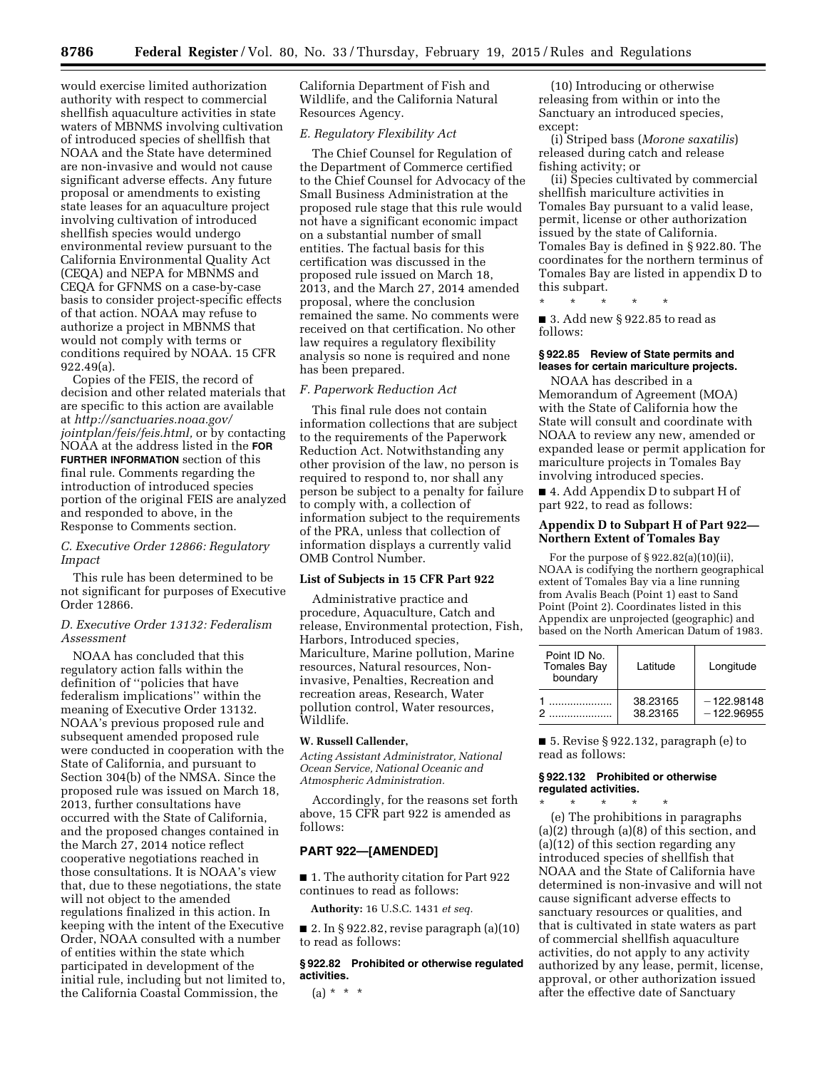would exercise limited authorization authority with respect to commercial shellfish aquaculture activities in state waters of MBNMS involving cultivation of introduced species of shellfish that NOAA and the State have determined are non-invasive and would not cause significant adverse effects. Any future proposal or amendments to existing state leases for an aquaculture project involving cultivation of introduced shellfish species would undergo environmental review pursuant to the California Environmental Quality Act (CEQA) and NEPA for MBNMS and CEQA for GFNMS on a case-by-case basis to consider project-specific effects of that action. NOAA may refuse to authorize a project in MBNMS that would not comply with terms or conditions required by NOAA. 15 CFR 922.49(a).

Copies of the FEIS, the record of decision and other related materials that are specific to this action are available at *[http://sanctuaries.noaa.gov/](http://sanctuaries.noaa.gov/jointplan/feis/feis.html) [jointplan/feis/feis.html,](http://sanctuaries.noaa.gov/jointplan/feis/feis.html)* or by contacting NOAA at the address listed in the **FOR FURTHER INFORMATION** section of this final rule. Comments regarding the introduction of introduced species portion of the original FEIS are analyzed and responded to above, in the Response to Comments section.

## *C. Executive Order 12866: Regulatory Impact*

This rule has been determined to be not significant for purposes of Executive Order 12866.

# *D. Executive Order 13132: Federalism Assessment*

NOAA has concluded that this regulatory action falls within the definition of ''policies that have federalism implications'' within the meaning of Executive Order 13132. NOAA's previous proposed rule and subsequent amended proposed rule were conducted in cooperation with the State of California, and pursuant to Section 304(b) of the NMSA. Since the proposed rule was issued on March 18, 2013, further consultations have occurred with the State of California, and the proposed changes contained in the March 27, 2014 notice reflect cooperative negotiations reached in those consultations. It is NOAA's view that, due to these negotiations, the state will not object to the amended regulations finalized in this action. In keeping with the intent of the Executive Order, NOAA consulted with a number of entities within the state which participated in development of the initial rule, including but not limited to, the California Coastal Commission, the

California Department of Fish and Wildlife, and the California Natural Resources Agency.

#### *E. Regulatory Flexibility Act*

The Chief Counsel for Regulation of the Department of Commerce certified to the Chief Counsel for Advocacy of the Small Business Administration at the proposed rule stage that this rule would not have a significant economic impact on a substantial number of small entities. The factual basis for this certification was discussed in the proposed rule issued on March 18, 2013, and the March 27, 2014 amended proposal, where the conclusion remained the same. No comments were received on that certification. No other law requires a regulatory flexibility analysis so none is required and none has been prepared.

#### *F. Paperwork Reduction Act*

This final rule does not contain information collections that are subject to the requirements of the Paperwork Reduction Act. Notwithstanding any other provision of the law, no person is required to respond to, nor shall any person be subject to a penalty for failure to comply with, a collection of information subject to the requirements of the PRA, unless that collection of information displays a currently valid OMB Control Number.

#### **List of Subjects in 15 CFR Part 922**

Administrative practice and procedure, Aquaculture, Catch and release, Environmental protection, Fish, Harbors, Introduced species, Mariculture, Marine pollution, Marine resources, Natural resources, Noninvasive, Penalties, Recreation and recreation areas, Research, Water pollution control, Water resources, Wildlife.

### **W. Russell Callender,**

*Acting Assistant Administrator, National Ocean Service, National Oceanic and Atmospheric Administration.* 

Accordingly, for the reasons set forth above, 15 CFR part 922 is amended as follows:

### **PART 922—[AMENDED]**

■ 1. The authority citation for Part 922 continues to read as follows:

**Authority:** 16 U.S.C. 1431 *et seq.* 

 $\blacksquare$  2. In § 922.82, revise paragraph (a)(10) to read as follows:

**§ 922.82 Prohibited or otherwise regulated activities.** 

 $(a) * * * *$ 

(10) Introducing or otherwise releasing from within or into the Sanctuary an introduced species, except:

(i) Striped bass (*Morone saxatilis*) released during catch and release fishing activity; or

(ii) Species cultivated by commercial shellfish mariculture activities in Tomales Bay pursuant to a valid lease, permit, license or other authorization issued by the state of California. Tomales Bay is defined in § 922.80. The coordinates for the northern terminus of Tomales Bay are listed in appendix D to this subpart.

\* \* \* \* \*

■ 3. Add new § 922.85 to read as follows:

## **§ 922.85 Review of State permits and leases for certain mariculture projects.**

NOAA has described in a Memorandum of Agreement (MOA) with the State of California how the State will consult and coordinate with NOAA to review any new, amended or expanded lease or permit application for mariculture projects in Tomales Bay involving introduced species.

■ 4. Add Appendix D to subpart H of part 922, to read as follows:

### **Appendix D to Subpart H of Part 922— Northern Extent of Tomales Bay**

For the purpose of § 922.82(a)(10)(ii), NOAA is codifying the northern geographical extent of Tomales Bay via a line running from Avalis Beach (Point 1) east to Sand Point (Point 2). Coordinates listed in this Appendix are unprojected (geographic) and based on the North American Datum of 1983.

| Point ID No.<br><b>Tomales Bay</b><br>boundary | Latitude             | Longitude                    |
|------------------------------------------------|----------------------|------------------------------|
|                                                | 38.23165<br>38.23165 | $-122.98148$<br>$-122.96955$ |

■ 5. Revise § 922.132, paragraph (e) to read as follows:

#### **§ 922.132 Prohibited or otherwise regulated activities.**  \* \* \* \* \*

(e) The prohibitions in paragraphs (a)(2) through (a)(8) of this section, and (a)(12) of this section regarding any introduced species of shellfish that NOAA and the State of California have determined is non-invasive and will not cause significant adverse effects to sanctuary resources or qualities, and that is cultivated in state waters as part of commercial shellfish aquaculture activities, do not apply to any activity authorized by any lease, permit, license, approval, or other authorization issued after the effective date of Sanctuary